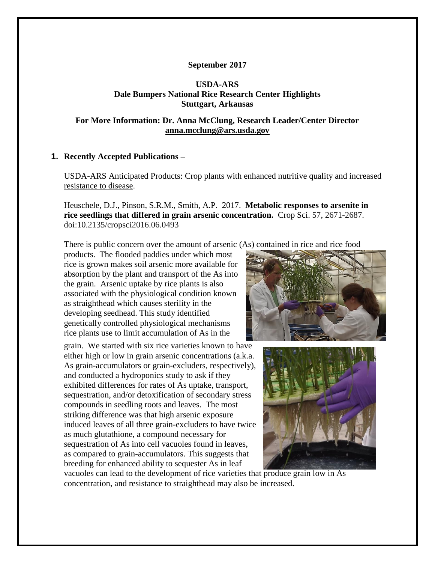## **September 2017**

## **USDA-ARS Dale Bumpers National Rice Research Center Highlights Stuttgart, Arkansas**

## **For More Information: Dr. Anna McClung, Research Leader/Center Director [anna.mcclung@ars.usda.gov](mailto:anna.mcclung@ars.usda.gov)**

## **1. Recently Accepted Publications –**

USDA-ARS Anticipated Products: Crop plants with enhanced nutritive quality and increased resistance to disease.

Heuschele, D.J., Pinson, S.R.M., Smith, A.P. 2017. **Metabolic responses to arsenite in rice seedlings that differed in grain arsenic concentration.** Crop Sci. 57, 2671-2687. doi:10.2135/cropsci2016.06.0493

There is public concern over the amount of arsenic (As) contained in rice and rice food

products. The flooded paddies under which most rice is grown makes soil arsenic more available for absorption by the plant and transport of the As into the grain. Arsenic uptake by rice plants is also associated with the physiological condition known as straighthead which causes sterility in the developing seedhead. This study identified genetically controlled physiological mechanisms rice plants use to limit accumulation of As in the

grain. We started with six rice varieties known to have either high or low in grain arsenic concentrations (a.k.a. As grain-accumulators or grain-excluders, respectively), and conducted a hydroponics study to ask if they exhibited differences for rates of As uptake, transport, sequestration, and/or detoxification of secondary stress compounds in seedling roots and leaves. The most striking difference was that high arsenic exposure induced leaves of all three grain-excluders to have twice as much glutathione, a compound necessary for sequestration of As into cell vacuoles found in leaves, as compared to grain-accumulators. This suggests that breeding for enhanced ability to sequester As in leaf





vacuoles can lead to the development of rice varieties that produce grain low in As concentration, and resistance to straighthead may also be increased.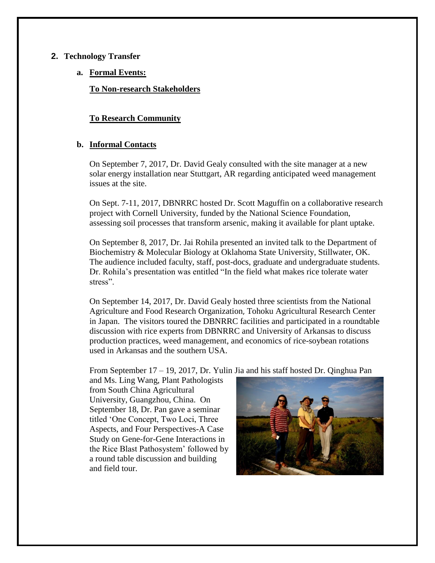## **2. Technology Transfer**

**a. Formal Events:**

**To Non-research Stakeholders**

# **To Research Community**

# **b. Informal Contacts**

On September 7, 2017, Dr. David Gealy consulted with the site manager at a new solar energy installation near Stuttgart, AR regarding anticipated weed management issues at the site.

On Sept. 7-11, 2017, DBNRRC hosted Dr. Scott Maguffin on a collaborative research project with Cornell University, funded by the National Science Foundation, assessing soil processes that transform arsenic, making it available for plant uptake.

On September 8, 2017, Dr. Jai Rohila presented an invited talk to the Department of Biochemistry & Molecular Biology at Oklahoma State University, Stillwater, OK. The audience included faculty, staff, post-docs, graduate and undergraduate students. Dr. Rohila's presentation was entitled "In the field what makes rice tolerate water stress".

On September 14, 2017, Dr. David Gealy hosted three scientists from the National Agriculture and Food Research Organization, Tohoku Agricultural Research Center in Japan. The visitors toured the DBNRRC facilities and participated in a roundtable discussion with rice experts from DBNRRC and University of Arkansas to discuss production practices, weed management, and economics of rice-soybean rotations used in Arkansas and the southern USA.

From September 17 – 19, 2017, Dr. Yulin Jia and his staff hosted Dr. Qinghua Pan

and Ms. Ling Wang, Plant Pathologists from South China Agricultural University, Guangzhou, China. On September 18, Dr. Pan gave a seminar titled 'One Concept, Two Loci, Three Aspects, and Four Perspectives-A Case Study on Gene-for-Gene Interactions in the Rice Blast Pathosystem' followed by a round table discussion and building and field tour.